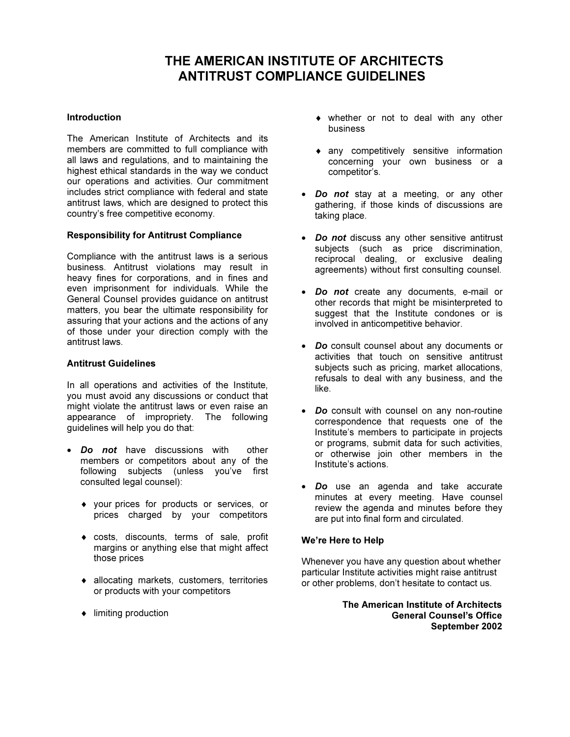# THE AMERICAN INSTITUTE OF ARCHITECTS ANTITRUST COMPLIANCE GUIDELINES

#### Introduction

The American Institute of Architects and its members are committed to full compliance with all laws and regulations, and to maintaining the highest ethical standards in the way we conduct our operations and activities. Our commitment includes strict compliance with federal and state antitrust laws, which are designed to protect this country's free competitive economy.

#### Responsibility for Antitrust Compliance

Compliance with the antitrust laws is a serious business. Antitrust violations may result in heavy fines for corporations, and in fines and even imprisonment for individuals. While the General Counsel provides guidance on antitrust matters, you bear the ultimate responsibility for assuring that your actions and the actions of any of those under your direction comply with the antitrust laws.

#### Antitrust Guidelines

In all operations and activities of the Institute, you must avoid any discussions or conduct that might violate the antitrust laws or even raise an appearance of impropriety. The following guidelines will help you do that:

- **Do not** have discussions with other members or competitors about any of the following subjects (unless you've first consulted legal counsel):
	- ♦ your prices for products or services, or prices charged by your competitors
	- ♦ costs, discounts, terms of sale, profit margins or anything else that might affect those prices
	- ♦ allocating markets, customers, territories or products with your competitors
	- ♦ limiting production
- ♦ whether or not to deal with any other business
- ♦ any competitively sensitive information concerning your own business or a competitor's.
- Do not stay at a meeting, or any other gathering, if those kinds of discussions are taking place.
- Do not discuss any other sensitive antitrust subjects (such as price discrimination, reciprocal dealing, or exclusive dealing agreements) without first consulting counsel.
- Do not create any documents, e-mail or other records that might be misinterpreted to suggest that the Institute condones or is involved in anticompetitive behavior.
- Do consult counsel about any documents or activities that touch on sensitive antitrust subjects such as pricing, market allocations, refusals to deal with any business, and the like.
- Do consult with counsel on any non-routine correspondence that requests one of the Institute's members to participate in projects or programs, submit data for such activities, or otherwise join other members in the Institute's actions.
- Do use an agenda and take accurate minutes at every meeting. Have counsel review the agenda and minutes before they are put into final form and circulated.

#### We're Here to Help

Whenever you have any question about whether particular Institute activities might raise antitrust or other problems, don't hesitate to contact us.

> The American Institute of Architects General Counsel's Office September 2002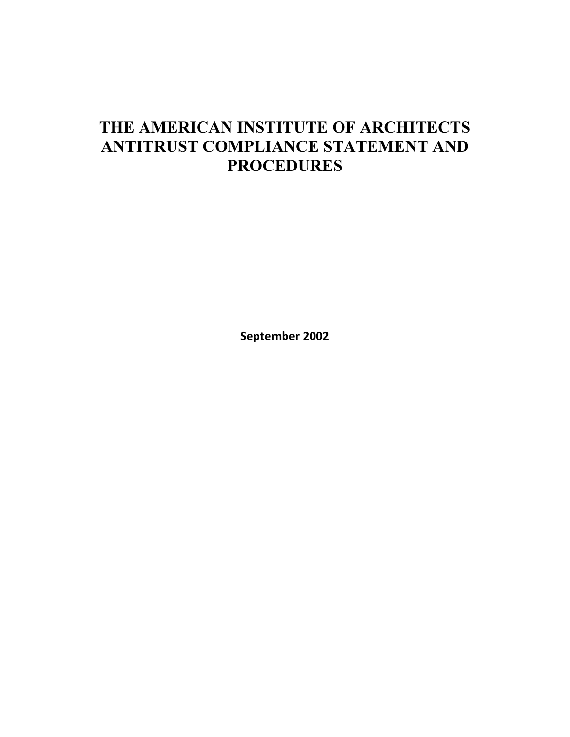# THE AMERICAN INSTITUTE OF ARCHITECTS ANTITRUST COMPLIANCE STATEMENT AND **PROCEDURES**

September 2002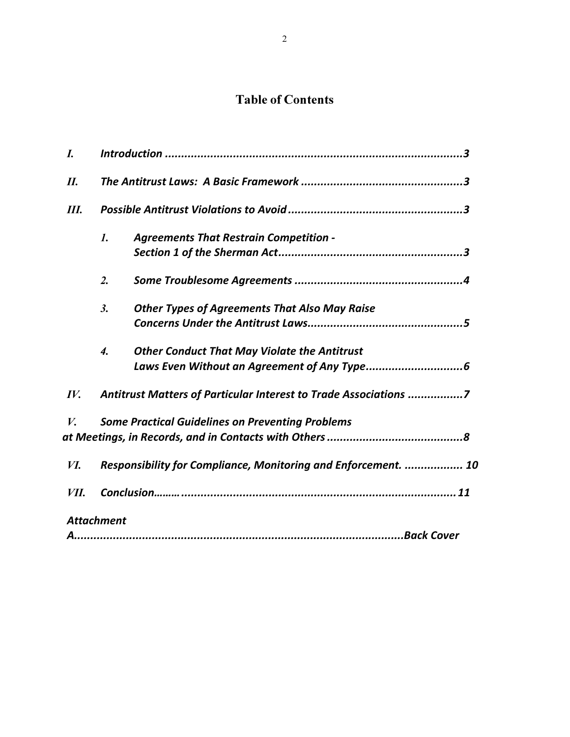# Table of Contents

| I.   |                                                                |                                                                  |  |
|------|----------------------------------------------------------------|------------------------------------------------------------------|--|
| II.  |                                                                |                                                                  |  |
| Ш.   |                                                                |                                                                  |  |
|      | $\mathbf{1}$ .                                                 | <b>Agreements That Restrain Competition -</b>                    |  |
|      | $\overline{2}$ .                                               |                                                                  |  |
|      | 3.                                                             | <b>Other Types of Agreements That Also May Raise</b>             |  |
|      | $\boldsymbol{4}$ .                                             | <b>Other Conduct That May Violate the Antitrust</b>              |  |
| IV.  |                                                                | Antitrust Matters of Particular Interest to Trade Associations 7 |  |
| V.   |                                                                | <b>Some Practical Guidelines on Preventing Problems</b>          |  |
| И.   | Responsibility for Compliance, Monitoring and Enforcement.  10 |                                                                  |  |
| VII. |                                                                |                                                                  |  |
|      | <b>Attachment</b>                                              |                                                                  |  |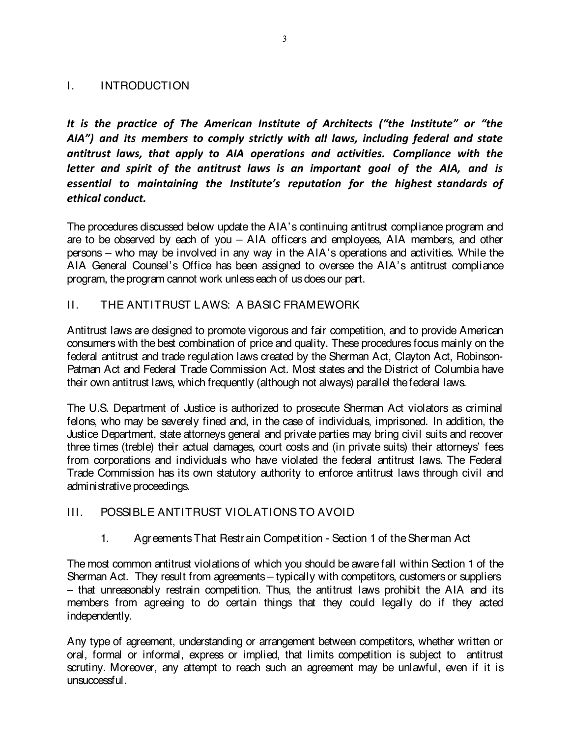## I. INTRODUCTION

It is the practice of The American Institute of Architects ("the Institute" or "the AIA") and its members to comply strictly with all laws, including federal and state antitrust laws, that apply to AIA operations and activities. Compliance with the letter and spirit of the antitrust laws is an important goal of the AIA, and is essential to maintaining the Institute's reputation for the highest standards of ethical conduct.

The procedures discussed below update the AIA's continuing antitrust compliance program and are to be observed by each of you – AIA officers and employees, AIA members, and other persons – who may be involved in any way in the AIA's operations and activities. While the AIA General Counsel's Office has been assigned to oversee the AIA's antitrust compliance program, the program cannot work unless each of us does our part.

II. THE ANTITRUST LAWS: A BASIC FRAMEWORK

Antitrust laws are designed to promote vigorous and fair competition, and to provide American consumers with the best combination of price and quality. These procedures focus mainly on the federal antitrust and trade regulation laws created by the Sherman Act, Clayton Act, Robinson-Patman Act and Federal Trade Commission Act. Most states and the District of Columbia have their own antitrust laws, which frequently (although not always) parallel thefederal laws.

The U.S. Department of Justice is authorized to prosecute Sherman Act violators as criminal felons, who may be severely fined and, in the case of individuals, imprisoned. In addition, the Justice Department, state attorneys general and private parties may bring civil suits and recover three times (treble) their actual damages, court costs and (in private suits) their attorneys' fees from corporations and individuals who have violated the federal antitrust laws. The Federal Trade Commission has its own statutory authority to enforce antitrust laws through civil and administrative proceedings.

## III. POSSIBLE ANTITRUST VIOLATIONSTO AVOID

1. AgreementsThat Restrain Competition - Section 1 of theSherman Act

The most common antitrust violations of which you should be aware fall within Section 1 of the Sherman Act. They result from agreements – typically with competitors, customers or suppliers – that unreasonably restrain competition. Thus, the antitrust laws prohibit the AIA and its members from agreeing to do certain things that they could legally do if they acted independently.

Any type of agreement, understanding or arrangement between competitors, whether written or oral, formal or informal, express or implied, that limits competition is subject to antitrust scrutiny. Moreover, any attempt to reach such an agreement may be unlawful, even if it is unsuccessful.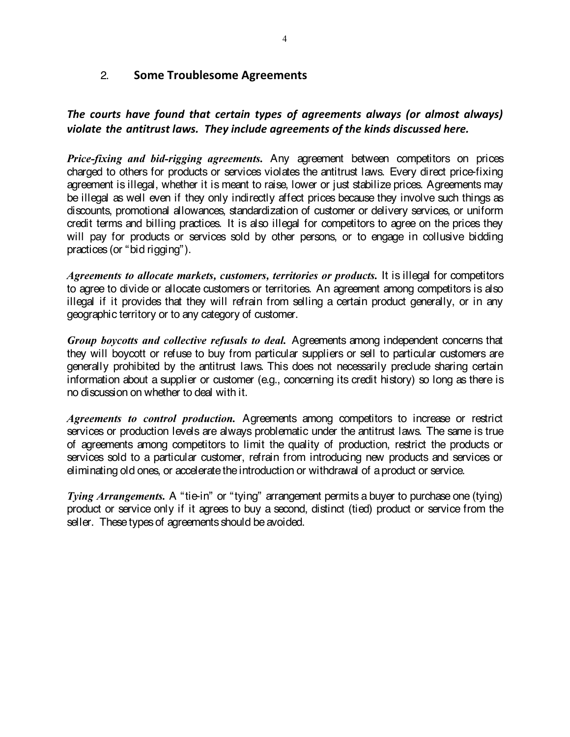# 2. Some Troublesome Agreements

# The courts have found that certain types of agreements always (or almost always) violate the antitrust laws. They include agreements of the kinds discussed here.

Price-fixing and bid-rigging agreements. Any agreement between competitors on prices charged to others for products or services violates the antitrust laws. Every direct price-fixing agreement is illegal, whether it is meant to raise, lower or just stabilize prices. Agreements may be illegal as well even if they only indirectly affect prices because they involve such things as discounts, promotional allowances, standardization of customer or delivery services, or uniform credit terms and billing practices. It is also illegal for competitors to agree on the prices they will pay for products or services sold by other persons, or to engage in collusive bidding practices (or "bid rigging").

Agreements to allocate markets, customers, territories or products. It is illegal for competitors to agree to divide or allocate customers or territories. An agreement among competitors is also illegal if it provides that they will refrain from selling a certain product generally, or in any geographic territory or to any category of customer.

Group boycotts and collective refusals to deal. Agreements among independent concerns that they will boycott or refuse to buy from particular suppliers or sell to particular customers are generally prohibited by the antitrust laws. This does not necessarily preclude sharing certain information about a supplier or customer (e.g., concerning its credit history) so long as there is no discussion on whether to deal with it.

Agreements to control production. Agreements among competitors to increase or restrict services or production levels are always problematic under the antitrust laws. The same is true of agreements among competitors to limit the quality of production, restrict the products or services sold to a particular customer, refrain from introducing new products and services or eliminating old ones, or accelerate the introduction or withdrawal of a product or service.

Tying Arrangements. A "tie-in" or "tying" arrangement permits a buyer to purchase one (tying) product or service only if it agrees to buy a second, distinct (tied) product or service from the seller. These types of agreements should be avoided.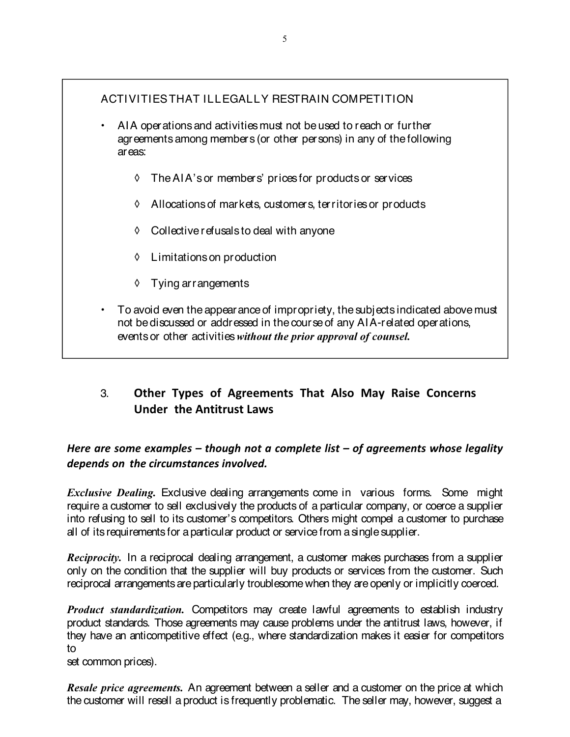# ACTIVITIESTHAT ILLEGALLY RESTRAIN COMPETITION

- AIA operations and activities must not beused to reach or further agreements among members (or other persons) in any of thefollowing areas:
	- ◊ TheAIA's or members' prices for products or services
	- ◊ Allocations of markets, customers, territories or products
	- ◊ Collectiverefusals to deal with anyone
	- ◊ Limitations on production
	- ◊ Tying arrangements
- $\cdot$  To avoid even the appearance of impropriety, the subjects indicated above must not bediscussed or addressed in thecourseof any AIA-related operations, events or other activities without the prior approval of counsel.

# 3. Other Types of Agreements That Also May Raise Concerns Under the Antitrust Laws

Here are some examples – though not a complete list – of agreements whose legality depends on the circumstances involved.

**Exclusive Dealing.** Exclusive dealing arrangements come in various forms. Some might require a customer to sell exclusively the products of a particular company, or coerce a supplier into refusing to sell to its customer's competitors. Others might compel a customer to purchase all of its requirements for aparticular product or service from asinglesupplier.

Reciprocity. In a reciprocal dealing arrangement, a customer makes purchases from a supplier only on the condition that the supplier will buy products or services from the customer. Such reciprocal arrangements are particularly troublesome when they are openly or implicitly coerced.

Product standardization. Competitors may create lawful agreements to establish industry product standards. Those agreements may cause problems under the antitrust laws, however, if they have an anticompetitive effect (e.g., where standardization makes it easier for competitors to

set common prices).

Resale price agreements. An agreement between a seller and a customer on the price at which the customer will resell a product is frequently problematic. The seller may, however, suggest a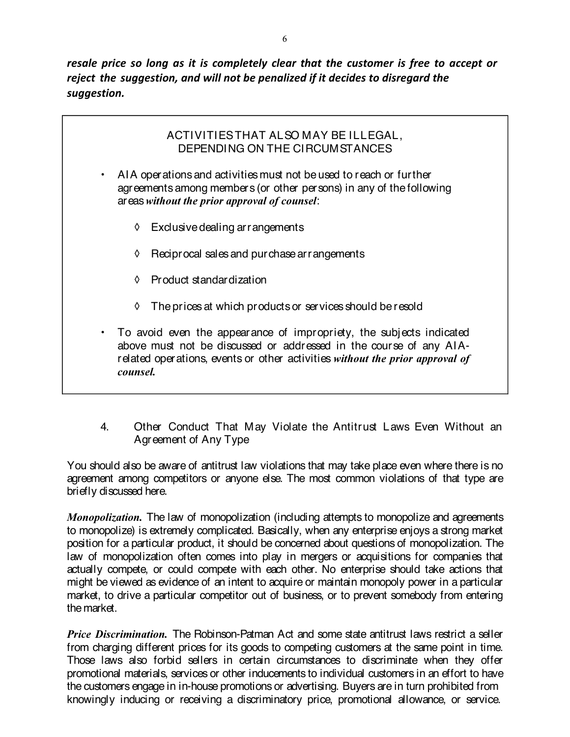resale price so long as it is completely clear that the customer is free to accept or reject the suggestion, and will not be penalized if it decides to disregard the suggestion.

## ACTIVITIESTHAT ALSO MAY BE ILLEGAL, DEPENDING ON THE CIRCUMSTANCES

- AIA operations and activities must not beused to reach or further agreements among members (or other persons) in any of thefollowing areas without the prior approval of counsel:
	- ◊ Exclusivedealing arrangements
	- ◊ Reciprocal sales and purchasearrangements
	- ◊ Product standardization
	- ◊ Theprices at which products or services should beresold
- To avoid even the appearance of impropriety, the subjects indicated above must not be discussed or addressed in the course of any AIArelated operations, events or other activities without the prior approval of counsel.
- 4. Other Conduct That May Violate the Antitrust Laws Even Without an Agreement of Any Type

You should also be aware of antitrust law violations that may take place even where there is no agreement among competitors or anyone else. The most common violations of that type are briefly discussed here.

Monopolization. The law of monopolization (including attempts to monopolize and agreements to monopolize) is extremely complicated. Basically, when any enterprise enjoys a strong market position for a particular product, it should be concerned about questions of monopolization. The law of monopolization often comes into play in mergers or acquisitions for companies that actually compete, or could compete with each other. No enterprise should take actions that might be viewed as evidence of an intent to acquire or maintain monopoly power in a particular market, to drive a particular competitor out of business, or to prevent somebody from entering the market.

Price Discrimination. The Robinson-Patman Act and some state antitrust laws restrict a seller from charging different prices for its goods to competing customers at the same point in time. Those laws also forbid sellers in certain circumstances to discriminate when they offer promotional materials, services or other inducements to individual customers in an effort to have the customers engage in in-house promotions or advertising. Buyers are in turn prohibited from knowingly inducing or receiving a discriminatory price, promotional allowance, or service.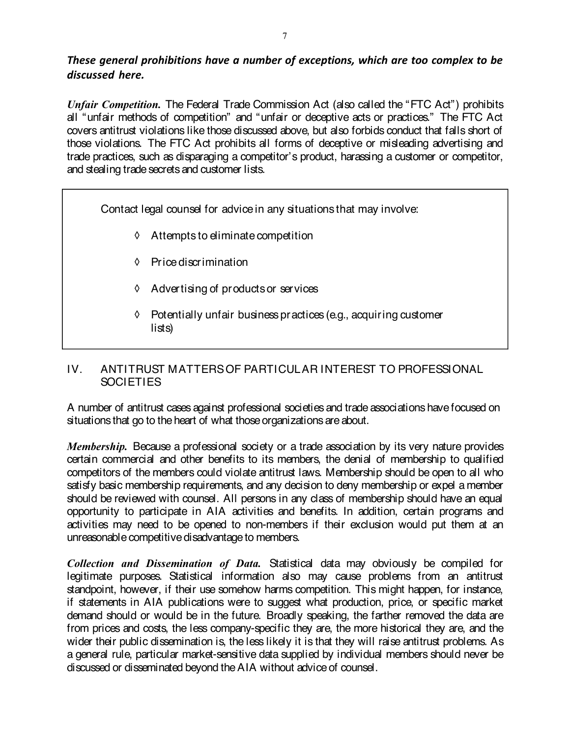# These general prohibitions have a number of exceptions, which are too complex to be discussed here.

Unfair Competition. The Federal Trade Commission Act (also called the "FTC Act") prohibits all "unfair methods of competition" and "unfair or deceptive acts or practices." The FTC Act covers antitrust violations like those discussed above, but also forbids conduct that falls short of those violations. The FTC Act prohibits all forms of deceptive or misleading advertising and trade practices, such as disparaging a competitor's product, harassing a customer or competitor, and stealing trade secrets and customer lists.

Contact legal counsel for advicein any situations that may involve:

- ◊ Attempts to eliminatecompetition
- ◊ Pricediscrimination
- ◊ Advertising of productsor services
- ◊ Potentially unfair business practices (e.g., acquiring customer lists)

# IV. ANTITRUST MATTERSOF PARTICULAR INTEREST TO PROFESSIONAL **SOCIETIES**

A number of antitrust cases against professional societies and trade associations have focused on situations that go to the heart of what those organizations are about.

Membership. Because a professional society or a trade association by its very nature provides certain commercial and other benefits to its members, the denial of membership to qualified competitors of the members could violate antitrust laws. Membership should be open to all who satisfy basic membership requirements, and any decision to deny membership or expel a member should be reviewed with counsel. All persons in any class of membership should have an equal opportunity to participate in AIA activities and benefits. In addition, certain programs and activities may need to be opened to non-members if their exclusion would put them at an unreasonable competitive disadvantage to members.

Collection and Dissemination of Data. Statistical data may obviously be compiled for legitimate purposes. Statistical information also may cause problems from an antitrust standpoint, however, if their use somehow harms competition. This might happen, for instance, if statements in AIA publications were to suggest what production, price, or specific market demand should or would be in the future. Broadly speaking, the farther removed the data are from prices and costs, the less company-specific they are, the more historical they are, and the wider their public dissemination is, the less likely it is that they will raise antitrust problems. As a general rule, particular market-sensitive data supplied by individual members should never be discussed or disseminated beyond the AIA without advice of counsel.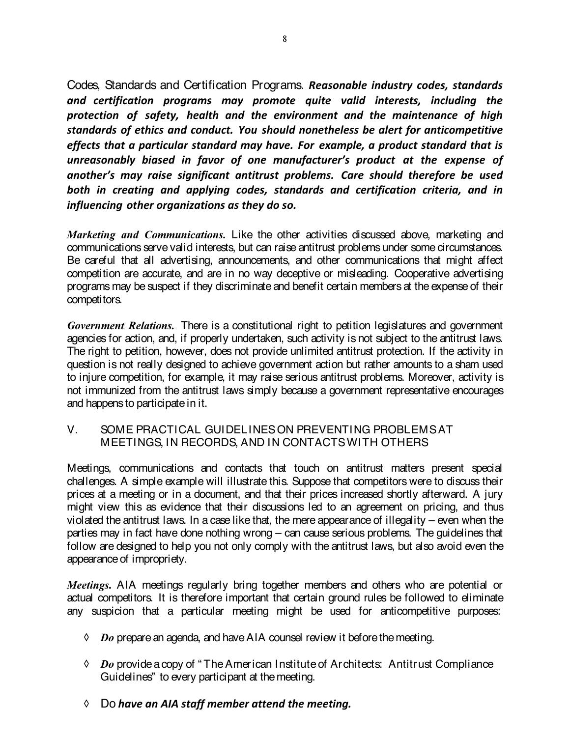Codes, Standards and Certification Programs. Reasonable industry codes, standards and certification programs may promote quite valid interests, including the protection of safety, health and the environment and the maintenance of high standards of ethics and conduct. You should nonetheless be alert for anticompetitive effects that a particular standard may have. For example, a product standard that is unreasonably biased in favor of one manufacturer's product at the expense of another's may raise significant antitrust problems. Care should therefore be used both in creating and applying codes, standards and certification criteria, and in influencing other organizations as they do so.

Marketing and Communications. Like the other activities discussed above, marketing and communications serve valid interests, but can raise antitrust problems under some circumstances. Be careful that all advertising, announcements, and other communications that might affect competition are accurate, and are in no way deceptive or misleading. Cooperative advertising programs may be suspect if they discriminate and benefit certain members at the expense of their competitors.

Government Relations. There is a constitutional right to petition legislatures and government agencies for action, and, if properly undertaken, such activity is not subject to the antitrust laws. The right to petition, however, does not provide unlimited antitrust protection. If the activity in question is not really designed to achieve government action but rather amounts to a sham used to injure competition, for example, it may raise serious antitrust problems. Moreover, activity is not immunized from the antitrust laws simply because a government representative encourages and happens to participate in it.

# V. SOME PRACTICAL GUIDELINESON PREVENTING PROBLEMSAT MEETINGS, IN RECORDS, AND IN CONTACTSWITH OTHERS

Meetings, communications and contacts that touch on antitrust matters present special challenges. A simple example will illustrate this. Suppose that competitors were to discuss their prices at a meeting or in a document, and that their prices increased shortly afterward. A jury might view this as evidence that their discussions led to an agreement on pricing, and thus violated the antitrust laws. In a case like that, the mere appearance of illegality – even when the parties may in fact have done nothing wrong – can cause serious problems. The guidelines that follow are designed to help you not only comply with the antitrust laws, but also avoid even the appearance of impropriety.

Meetings. AIA meetings regularly bring together members and others who are potential or actual competitors. It is therefore important that certain ground rules be followed to eliminate any suspicion that a particular meeting might be used for anticompetitive purposes:

- $\Diamond$  Do prepare an agenda, and have AIA counsel review it before the meeting.
- $\Diamond$  Do provide a copy of "The American Institute of Architects: Antitrust Compliance Guidelines" to every participant at themeeting.
- $\Diamond$  Do have an AIA staff member attend the meeting.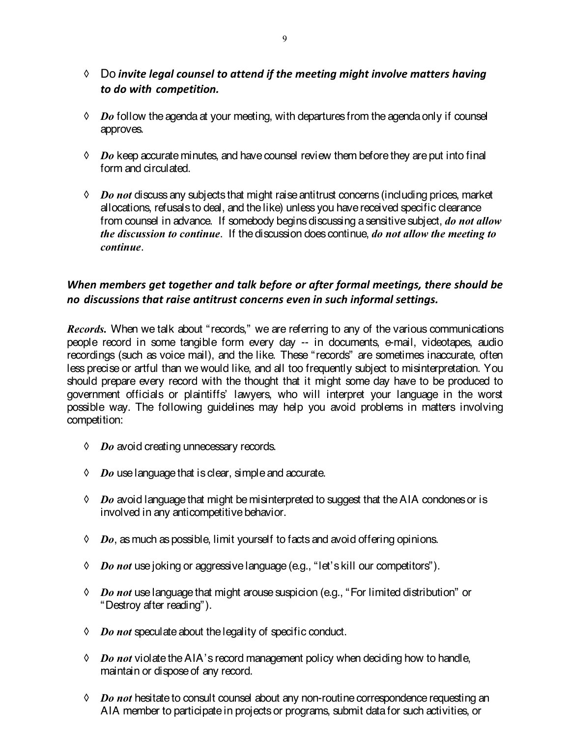- ◊ Do invite legal counsel to attend if the meeting might involve matters having to do with competition.
- $\Diamond$  Do follow the agenda at your meeting, with departures from the agenda only if counsel approves.
- $\Diamond$  Do keep accurate minutes, and have counsel review them before they are put into final form and circulated.
- $\Diamond$  Do not discuss any subjects that might raise antitrust concerns (including prices, market allocations, refusals to deal, and thelike) unless you havereceived specific clearance from counsel in advance. If somebody begins discussing a sensitive subject, do not allow the discussion to continue. If the discussion does continue, do not allow the meeting to continue.

# When members get together and talk before or after formal meetings, there should be no discussions that raise antitrust concerns even in such informal settings.

Records. When we talk about "records," we are referring to any of the various communications people record in some tangible form every day -- in documents, e-mail, videotapes, audio recordings (such as voice mail), and the like. These "records" are sometimes inaccurate, often less precise or artful than we would like, and all too frequently subject to misinterpretation. You should prepare every record with the thought that it might some day have to be produced to government officials or plaintiffs' lawyers, who will interpret your language in the worst possible way. The following guidelines may help you avoid problems in matters involving competition:

- $\Diamond$  Do avoid creating unnecessary records.
- $\Diamond$  Do use language that is clear, simple and accurate.
- $\Diamond$  Do avoid language that might be misinterpreted to suggest that the AIA condones or is involved in any anticompetitive behavior.
- $\Diamond$  Do, as much as possible, limit yourself to facts and avoid offering opinions.
- ↑ *Do not* use joking or aggressive language (e.g., "let's kill our competitors").
- $\Diamond$   $\;\;Do$  not use language that might arouse suspicion (e.g., "For limited distribution" or "Destroy after reading").
- $\lozenge$  Do not speculate about the legality of specific conduct.
- $\Diamond$  Do not violate the AIA's record management policy when deciding how to handle, maintain or dispose of any record.
- $\Diamond$  Do not hesitate to consult counsel about any non-routine correspondence requesting an AIA member to participatein projects or programs, submit datafor such activities, or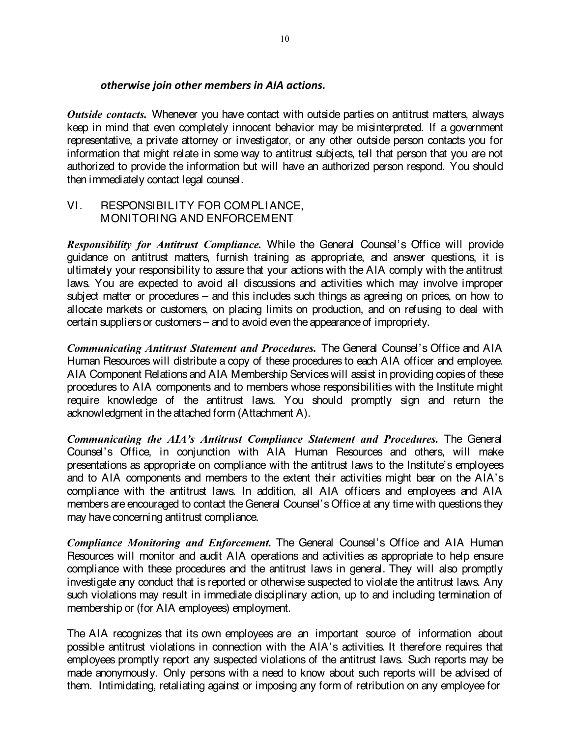### otherwise join other members in AIA actions.

Outside contacts. Whenever you have contact with outside parties on antitrust matters, always keep in mind that even completely innocent behavior may be misinterpreted. If a government representative, a private attorney or investigator, or any other outside person contacts you for information that might relate in some way to antitrust subjects, tell that person that you are not authorized to provide the information but will have an authorized person respond. You should then immediately contact legal counsel.

## VI. RESPONSIBILITY FOR COMPLIANCE, MONITORING AND ENFORCEMENT

**Responsibility for Antitrust Compliance.** While the General Counsel's Office will provide guidance on antitrust matters, furnish training as appropriate, and answer questions, it is ultimately your responsibility to assure that your actions with the AIA comply with the antitrust laws. You are expected to avoid all discussions and activities which may involve improper subject matter or procedures – and this includes such things as agreeing on prices, on how to allocate markets or customers, on placing limits on production, and on refusing to deal with certain suppliers or customers – and to avoid even the appearance of impropriety.

Communicating Antitrust Statement and Procedures. The General Counsel's Office and AIA Human Resources will distribute a copy of these procedures to each AIA officer and employee. AIA Component Relations and AIA Membership Services will assist in providing copies of these procedures to AIA components and to members whose responsibilities with the Institute might require knowledge of the antitrust laws. You should promptly sign and return the acknowledgment in the attached form (Attachment A).

Communicating the AIA's Antitrust Compliance Statement and Procedures. The General Counsel's Office, in conjunction with AIA Human Resources and others, will make presentations as appropriate on compliance with the antitrust laws to the Institute's employees and to AIA components and members to the extent their activities might bear on the AIA's compliance with the antitrust laws. In addition, all AIA officers and employees and AIA members are encouraged to contact theGeneral Counsel's Office at any time with questions they may have concerning antitrust compliance.

Compliance Monitoring and Enforcement. The General Counsel's Office and AIA Human Resources will monitor and audit AIA operations and activities as appropriate to help ensure compliance with these procedures and the antitrust laws in general. They will also promptly investigate any conduct that is reported or otherwise suspected to violate the antitrust laws. Any such violations may result in immediate disciplinary action, up to and including termination of membership or (for AIA employees) employment.

The AIA recognizes that its own employees are an important source of information about possible antitrust violations in connection with the AIA's activities. It therefore requires that employees promptly report any suspected violations of the antitrust laws. Such reports may be made anonymously. Only persons with a need to know about such reports will be advised of them. Intimidating, retaliating against or imposing any form of retribution on any employee for